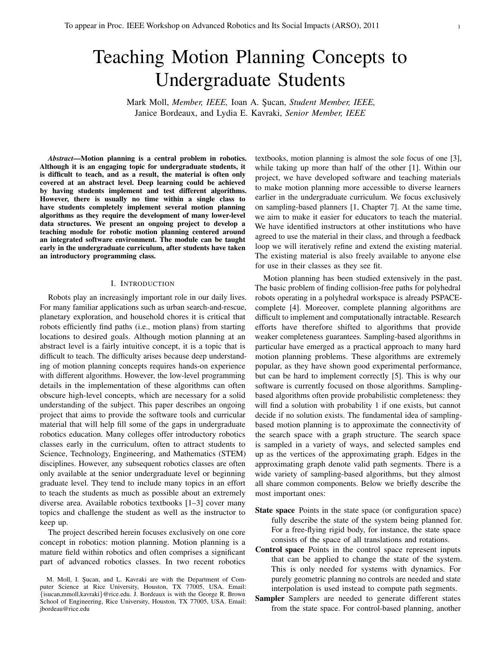# Teaching Motion Planning Concepts to Undergraduate Students

Mark Moll, *Member, IEEE,* Ioan A. S¸ucan, *Student Member, IEEE,* Janice Bordeaux, and Lydia E. Kavraki, *Senior Member, IEEE*

*Abstract*—Motion planning is a central problem in robotics. Although it is an engaging topic for undergraduate students, it is difficult to teach, and as a result, the material is often only covered at an abstract level. Deep learning could be achieved by having students implement and test different algorithms. However, there is usually no time within a single class to have students completely implement several motion planning algorithms as they require the development of many lower-level data structures. We present an ongoing project to develop a teaching module for robotic motion planning centered around an integrated software environment. The module can be taught early in the undergraduate curriculum, after students have taken an introductory programming class.

## I. INTRODUCTION

Robots play an increasingly important role in our daily lives. For many familiar applications such as urban search-and-rescue, planetary exploration, and household chores it is critical that robots efficiently find paths (i.e., motion plans) from starting locations to desired goals. Although motion planning at an abstract level is a fairly intuitive concept, it is a topic that is difficult to teach. The difficulty arises because deep understanding of motion planning concepts requires hands-on experience with different algorithms. However, the low-level programming details in the implementation of these algorithms can often obscure high-level concepts, which are necessary for a solid understanding of the subject. This paper describes an ongoing project that aims to provide the software tools and curricular material that will help fill some of the gaps in undergraduate robotics education. Many colleges offer introductory robotics classes early in the curriculum, often to attract students to Science, Technology, Engineering, and Mathematics (STEM) disciplines. However, any subsequent robotics classes are often only available at the senior undergraduate level or beginning graduate level. They tend to include many topics in an effort to teach the students as much as possible about an extremely diverse area. Available robotics textbooks [1–3] cover many topics and challenge the student as well as the instructor to keep up.

The project described herein focuses exclusively on one core concept in robotics: motion planning. Motion planning is a mature field within robotics and often comprises a significant part of advanced robotics classes. In two recent robotics

textbooks, motion planning is almost the sole focus of one [3], while taking up more than half of the other [1]. Within our project, we have developed software and teaching materials to make motion planning more accessible to diverse learners earlier in the undergraduate curriculum. We focus exclusively on sampling-based planners [1, Chapter 7]. At the same time, we aim to make it easier for educators to teach the material. We have identified instructors at other institutions who have agreed to use the material in their class, and through a feedback loop we will iteratively refine and extend the existing material. The existing material is also freely available to anyone else for use in their classes as they see fit.

Motion planning has been studied extensively in the past. The basic problem of finding collision-free paths for polyhedral robots operating in a polyhedral workspace is already PSPACEcomplete [4]. Moreover, complete planning algorithms are difficult to implement and computationally intractable. Research efforts have therefore shifted to algorithms that provide weaker completeness guarantees. Sampling-based algorithms in particular have emerged as a practical approach to many hard motion planning problems. These algorithms are extremely popular, as they have shown good experimental performance, but can be hard to implement correctly [5]. This is why our software is currently focused on those algorithms. Samplingbased algorithms often provide probabilistic completeness: they will find a solution with probability 1 if one exists, but cannot decide if no solution exists. The fundamental idea of samplingbased motion planning is to approximate the connectivity of the search space with a graph structure. The search space is sampled in a variety of ways, and selected samples end up as the vertices of the approximating graph. Edges in the approximating graph denote valid path segments. There is a wide variety of sampling-based algorithms, but they almost all share common components. Below we briefly describe the most important ones:

- State space Points in the state space (or configuration space) fully describe the state of the system being planned for. For a free-flying rigid body, for instance, the state space consists of the space of all translations and rotations.
- Control space Points in the control space represent inputs that can be applied to change the state of the system. This is only needed for systems with dynamics. For purely geometric planning no controls are needed and state interpolation is used instead to compute path segments.
- Sampler Samplers are needed to generate different states from the state space. For control-based planning, another

M. Moll, I. Şucan, and L. Kavraki are with the Department of Computer Science at Rice University, Houston, TX 77005, USA. Email: {isucan,mmoll,kavraki}@rice.edu. J. Bordeaux is with the George R. Brown School of Engineering, Rice University, Houston, TX 77005, USA. Email: jbordeau@rice.edu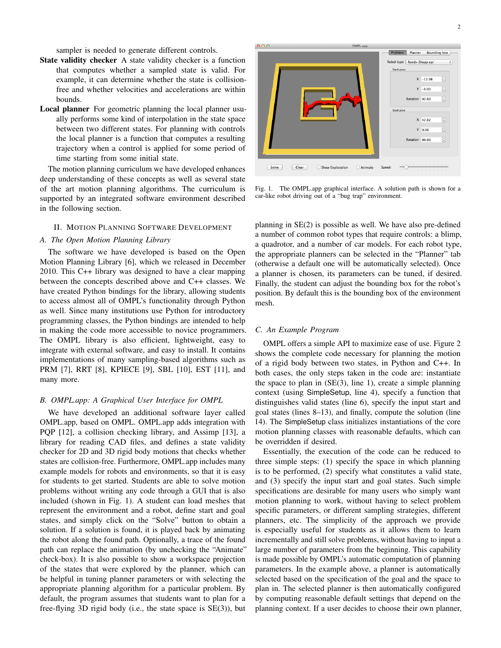sampler is needed to generate different controls.

- State validity checker A state validity checker is a function that computes whether a sampled state is valid. For example, it can determine whether the state is collisionfree and whether velocities and accelerations are within bounds.
- Local planner For geometric planning the local planner usually performs some kind of interpolation in the state space between two different states. For planning with controls the local planner is a function that computes a resulting trajectory when a control is applied for some period of time starting from some initial state.

The motion planning curriculum we have developed enhances deep understanding of these concepts as well as several state of the art motion planning algorithms. The curriculum is supported by an integrated software environment described in the following section.

# II. MOTION PLANNING SOFTWARE DEVELOPMENT

# *A. The Open Motion Planning Library*

The software we have developed is based on the Open Motion Planning Library [6], which we released in December 2010. This C++ library was designed to have a clear mapping between the concepts described above and C++ classes. We have created Python bindings for the library, allowing students to access almost all of OMPL's functionality through Python as well. Since many institutions use Python for introductory programming classes, the Python bindings are intended to help in making the code more accessible to novice programmers. The OMPL library is also efficient, lightweight, easy to integrate with external software, and easy to install. It contains implementations of many sampling-based algorithms such as PRM [7], RRT [8], KPIECE [9], SBL [10], EST [11], and many more.

## *B. OMPL.app: A Graphical User Interface for OMPL*

We have developed an additional software layer called OMPL.app, based on OMPL. OMPL.app adds integration with PQP [12], a collision checking library, and Assimp [13], a library for reading CAD files, and defines a state validity checker for 2D and 3D rigid body motions that checks whether states are collision-free. Furthermore, OMPL.app includes many example models for robots and environments, so that it is easy for students to get started. Students are able to solve motion problems without writing any code through a GUI that is also included (shown in Fig. 1). A student can load meshes that represent the environment and a robot, define start and goal states, and simply click on the "Solve" button to obtain a solution. If a solution is found, it is played back by animating the robot along the found path. Optionally, a trace of the found path can replace the animation (by unchecking the "Animate" check-box). It is also possible to show a workspace projection of the states that were explored by the planner, which can be helpful in tuning planner parameters or with selecting the appropriate planning algorithm for a particular problem. By default, the program assumes that students want to plan for a free-flying 3D rigid body (i.e., the state space is SE(3)), but



Fig. 1. The OMPL.app graphical interface. A solution path is shown for a car-like robot driving out of a "bug trap" environment.

planning in SE(2) is possible as well. We have also pre-defined a number of common robot types that require controls: a blimp, a quadrotor, and a number of car models. For each robot type, the appropriate planners can be selected in the "Planner" tab (otherwise a default one will be automatically selected). Once a planner is chosen, its parameters can be tuned, if desired. Finally, the student can adjust the bounding box for the robot's position. By default this is the bounding box of the environment mesh.

## *C. An Example Program*

OMPL offers a simple API to maximize ease of use. Figure 2 shows the complete code necessary for planning the motion of a rigid body between two states, in Python and C++. In both cases, the only steps taken in the code are: instantiate the space to plan in  $(SE(3)$ , line 1), create a simple planning context (using SimpleSetup, line 4), specify a function that distinguishes valid states (line 6), specify the input start and goal states (lines 8–13), and finally, compute the solution (line 14). The SimpleSetup class initializes instantiations of the core motion planning classes with reasonable defaults, which can be overridden if desired.

Essentially, the execution of the code can be reduced to three simple steps: (1) specify the space in which planning is to be performed, (2) specify what constitutes a valid state, and (3) specify the input start and goal states. Such simple specifications are desirable for many users who simply want motion planning to work, without having to select problem specific parameters, or different sampling strategies, different planners, etc. The simplicity of the approach we provide is especially useful for students as it allows them to learn incrementally and still solve problems, without having to input a large number of parameters from the beginning. This capability is made possible by OMPL's automatic computation of planning parameters. In the example above, a planner is automatically selected based on the specification of the goal and the space to plan in. The selected planner is then automatically configured by computing reasonable default settings that depend on the planning context. If a user decides to choose their own planner,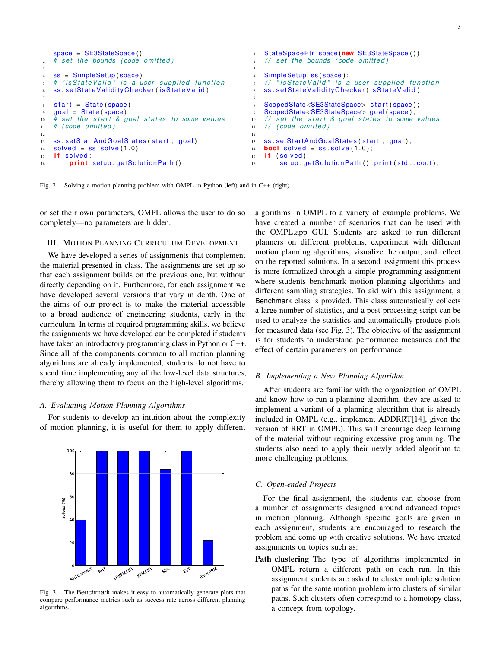```
1 space = SE3StateSpace ( )
2 # s et the bounds ( code om itt e d )
3
   ss = SimpleSetup (space)
5 # " i s S t a t e V a l i d " i s a user−s u p p l i e d f u n c t i o n
   ss . setStateValidityChecker (isStateValid)
 7
s start = State (space)
9 goal = State ( space )
10 # set the start & goal states to some values
11 # ( code om itt e d )
12
13 ss. setStartAndGoalStates (start, goal)
14 solved = ss. solve (1.0)15 if solved:
16 print setup getSolutionPath()
                                                                 StateSpacePtr space(new SE3StateSpace());
                                                             2 / / s et the bounds ( code om itt e d )
                                                             3
                                                             4 SimpleSetup ss (space);
                                                             5 / / " i s S t a t e V a l i d " i s a user−s u p p l i e d f u n c t i o n
                                                                 ss . setStateValidityChecker (isStateValid);
                                                             7
                                                             s ScopedState<SE3StateSpace> start (space);
                                                             9 ScopedState<SE3StateSpace> goal ( space ) ;
                                                             10 // set the start & goal states to some values
                                                             11 / / ( code om itt e d )
                                                             12
                                                             13 ss setStartAndGoalStates (start, goal),
                                                             _{14} bool solved = ss. solve (1.0);
                                                             15 if (solved)
                                                             16 setup getSolutionPath() . print (std : cout);
```
Fig. 2. Solving a motion planning problem with OMPL in Python (left) and in C++ (right).

or set their own parameters, OMPL allows the user to do so completely—no parameters are hidden.

## III. MOTION PLANNING CURRICULUM DEVELOPMENT

We have developed a series of assignments that complement the material presented in class. The assignments are set up so that each assignment builds on the previous one, but without directly depending on it. Furthermore, for each assignment we have developed several versions that vary in depth. One of the aims of our project is to make the material accessible to a broad audience of engineering students, early in the curriculum. In terms of required programming skills, we believe the assignments we have developed can be completed if students have taken an introductory programming class in Python or C++. Since all of the components common to all motion planning algorithms are already implemented, students do not have to spend time implementing any of the low-level data structures, thereby allowing them to focus on the high-level algorithms.

# *A. Evaluating Motion Planning Algorithms*

For students to develop an intuition about the complexity of motion planning, it is useful for them to apply different



Fig. 3. The Benchmark makes it easy to automatically generate plots that compare performance metrics such as success rate across different planning algorithms.

algorithms in OMPL to a variety of example problems. We have created a number of scenarios that can be used with the OMPL.app GUI. Students are asked to run different planners on different problems, experiment with different motion planning algorithms, visualize the output, and reflect on the reported solutions. In a second assignment this process is more formalized through a simple programming assignment where students benchmark motion planning algorithms and different sampling strategies. To aid with this assignment, a Benchmark class is provided. This class automatically collects a large number of statistics, and a post-processing script can be used to analyze the statistics and automatically produce plots for measured data (see Fig. 3). The objective of the assignment is for students to understand performance measures and the effect of certain parameters on performance.

### *B. Implementing a New Planning Algorithm*

After students are familiar with the organization of OMPL and know how to run a planning algorithm, they are asked to implement a variant of a planning algorithm that is already included in OMPL (e.g., implement ADDRRT[14], given the version of RRT in OMPL). This will encourage deep learning of the material without requiring excessive programming. The students also need to apply their newly added algorithm to more challenging problems.

# *C. Open-ended Projects*

For the final assignment, the students can choose from a number of assignments designed around advanced topics in motion planning. Although specific goals are given in each assignment, students are encouraged to research the problem and come up with creative solutions. We have created assignments on topics such as:

Path clustering The type of algorithms implemented in OMPL return a different path on each run. In this assignment students are asked to cluster multiple solution paths for the same motion problem into clusters of similar paths. Such clusters often correspond to a homotopy class, a concept from topology.